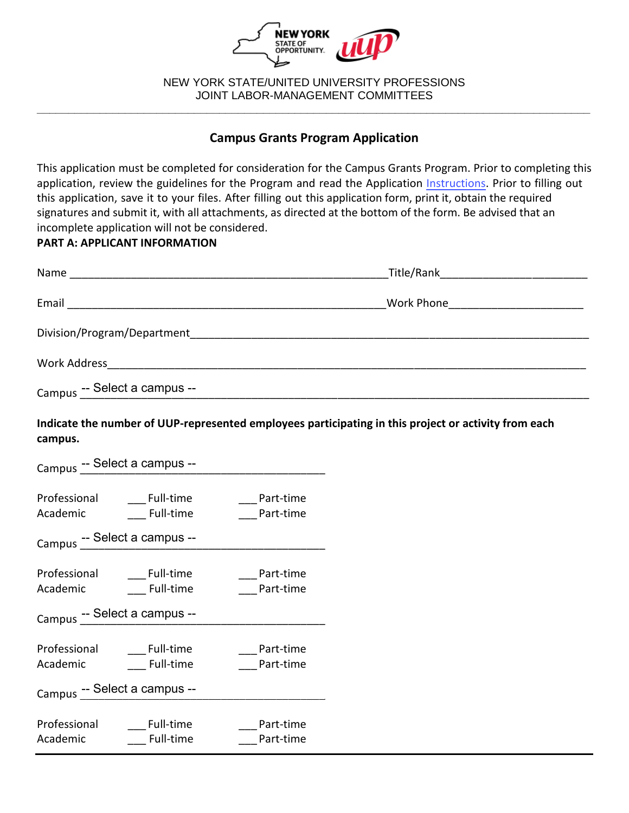

NEW YORK STATE/UNITED UNIVERSITY PROFESSIONS JOINT LABOR-MANAGEMENT COMMITTEES **\_\_\_\_\_\_\_\_\_\_\_\_\_\_\_\_\_\_\_\_\_\_\_\_\_\_\_\_\_\_\_\_\_\_\_\_\_\_\_\_\_\_\_\_\_\_\_\_\_\_\_\_\_\_\_\_\_\_\_\_\_\_\_\_\_\_\_\_\_\_\_\_\_\_\_\_\_\_\_\_\_\_\_\_\_\_\_\_**

# **Campus Grants Program Application**

This application must be completed for consideration for the Campus Grants Program. Prior to completing this application, review the guidelines for the Program and read the Application [Instructions.](https://oer.ny.gov/instructions-completing-fillable-pdf-application) Prior to filling out this application, save it to your files. After filling out this application form, print it, obtain the required signatures and submit it, with all attachments, as directed at the bottom of the form. Be advised that an incomplete application will not be considered.

### **PART A: APPLICANT INFORMATION**

| Email                        | Work Phone <u>_____________________</u> |
|------------------------------|-----------------------------------------|
| Division/Program/Department  |                                         |
| Work Address                 |                                         |
| Campus -- Select a campus -- |                                         |

**Indicate the number of UUP-represented employees participating in this project or activity from each campus.** 

| Campus -- Select a campus -- |                  |           |
|------------------------------|------------------|-----------|
| Professional                 | <b>Full-time</b> | Part-time |
| Academic                     | Full-time        | Part-time |
| Campus -- Select a campus -- |                  |           |
| Professional                 | Full-time        | Part-time |
| Academic                     | <b>Full-time</b> | Part-time |
| Campus -- Select a campus -- |                  |           |
| Professional                 | Full-time        | Part-time |
| Academic                     | Full-time        | Part-time |
| Campus -- Select a campus -- |                  |           |
| Professional                 | Full-time        | Part-time |
| Academic                     | Full-time        | Part-time |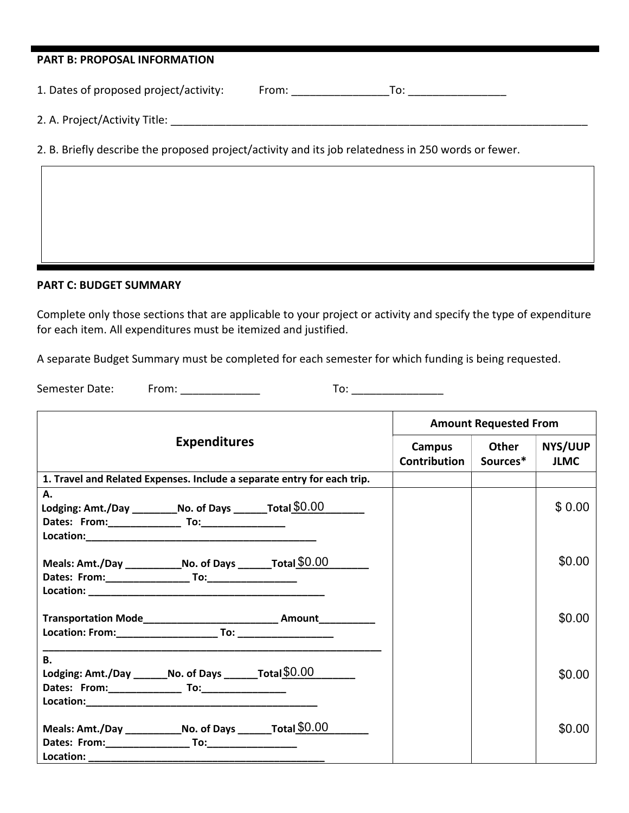| <b>PART B: PROPOSAL INFORMATION</b>                                                                 |                                                                                                                                                                                                                                |                                   |  |
|-----------------------------------------------------------------------------------------------------|--------------------------------------------------------------------------------------------------------------------------------------------------------------------------------------------------------------------------------|-----------------------------------|--|
| 1. Dates of proposed project/activity:                                                              | From: the contract of the contract of the contract of the contract of the contract of the contract of the contract of the contract of the contract of the contract of the contract of the contract of the contract of the cont | $\overline{10}$ : $\overline{10}$ |  |
| 2. A. Project/Activity Title:                                                                       |                                                                                                                                                                                                                                |                                   |  |
| 2. B. Briefly describe the proposed project/activity and its job relatedness in 250 words or fewer. |                                                                                                                                                                                                                                |                                   |  |
|                                                                                                     |                                                                                                                                                                                                                                |                                   |  |

#### **PART C: BUDGET SUMMARY**

Complete only those sections that are applicable to your project or activity and specify the type of expenditure for each item. All expenditures must be itemized and justified.

A separate Budget Summary must be completed for each semester for which funding is being requested.

Semester Date: From: \_\_\_\_\_\_\_\_\_\_\_\_\_ To: \_\_\_\_\_\_\_\_\_\_\_\_\_\_\_

|                                                                                                                          | <b>Amount Requested From</b> |                   |                               |
|--------------------------------------------------------------------------------------------------------------------------|------------------------------|-------------------|-------------------------------|
| <b>Expenditures</b>                                                                                                      | Campus<br>Contribution       | Other<br>Sources* | <b>NYS/UUP</b><br><b>JLMC</b> |
| 1. Travel and Related Expenses. Include a separate entry for each trip.                                                  |                              |                   |                               |
| Α.<br>Lodging: Amt./Day ___________No. of Days ________Total \$0.00                                                      |                              |                   | \$0.00                        |
| Meals: Amt./Day ________________No. of Days __________Total $$0.00$                                                      |                              |                   | \$0.00                        |
| Transportation Mode_____________________________ Amount___________                                                       |                              |                   | \$0.00                        |
| В.<br>Lodging: Amt./Day ________ No. of Days ________ Total $$0.00$                                                      |                              |                   | \$0.00                        |
| Meals: Amt./Day ________________No. of Days __________Total $$0.00$<br>Location: _________ <del>__________________</del> |                              |                   | \$0.00                        |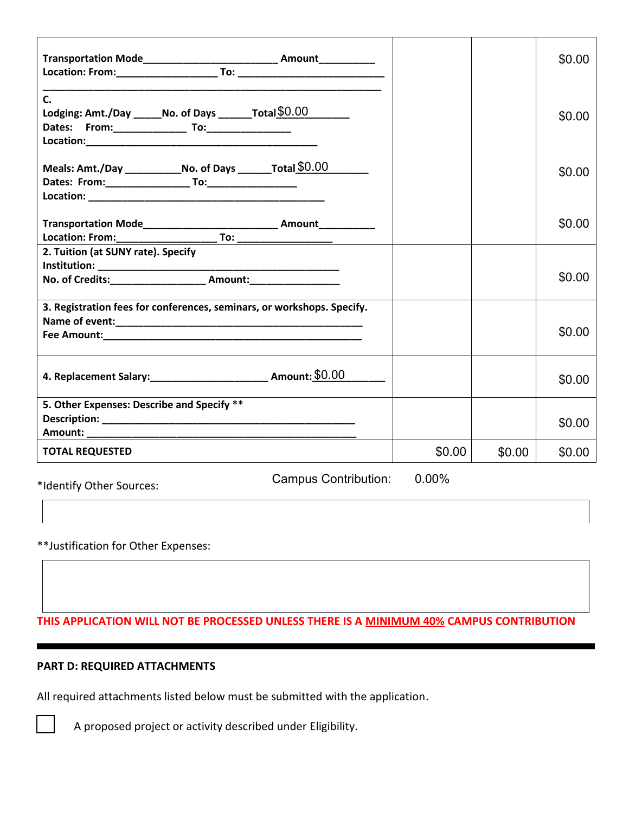|                                                                            |        |        | \$0.00 |
|----------------------------------------------------------------------------|--------|--------|--------|
| $\mathsf{C}$ .<br>Lodging: Amt./Day ______ No. of Days _______Total \$0.00 |        |        | \$0.00 |
| Meals: Amt./Day _______________No. of Days __________Total \$0.00          |        |        | \$0.00 |
|                                                                            |        |        | \$0.00 |
| 2. Tuition (at SUNY rate). Specify                                         |        |        | \$0.00 |
| 3. Registration fees for conferences, seminars, or workshops. Specify.     |        |        | \$0.00 |
| 4. Replacement Salary: ________________________________ Amount: \$0.00     |        |        | \$0.00 |
| 5. Other Expenses: Describe and Specify **                                 |        |        | \$0.00 |
| <b>TOTAL REQUESTED</b>                                                     | \$0.00 | \$0.00 | \$0.00 |
| <b>Campus Contribution:</b><br>*Identify Other Sources:                    | 0.00%  |        |        |

\*\*Justification for Other Expenses:

**THIS APPLICATION WILL NOT BE PROCESSED UNLESS THERE IS A MINIMUM 40% CAMPUS CONTRIBUTION** 

# **PART D: REQUIRED ATTACHMENTS**

All required attachments listed below must be submitted with the application.

A proposed project or activity described under Eligibility.